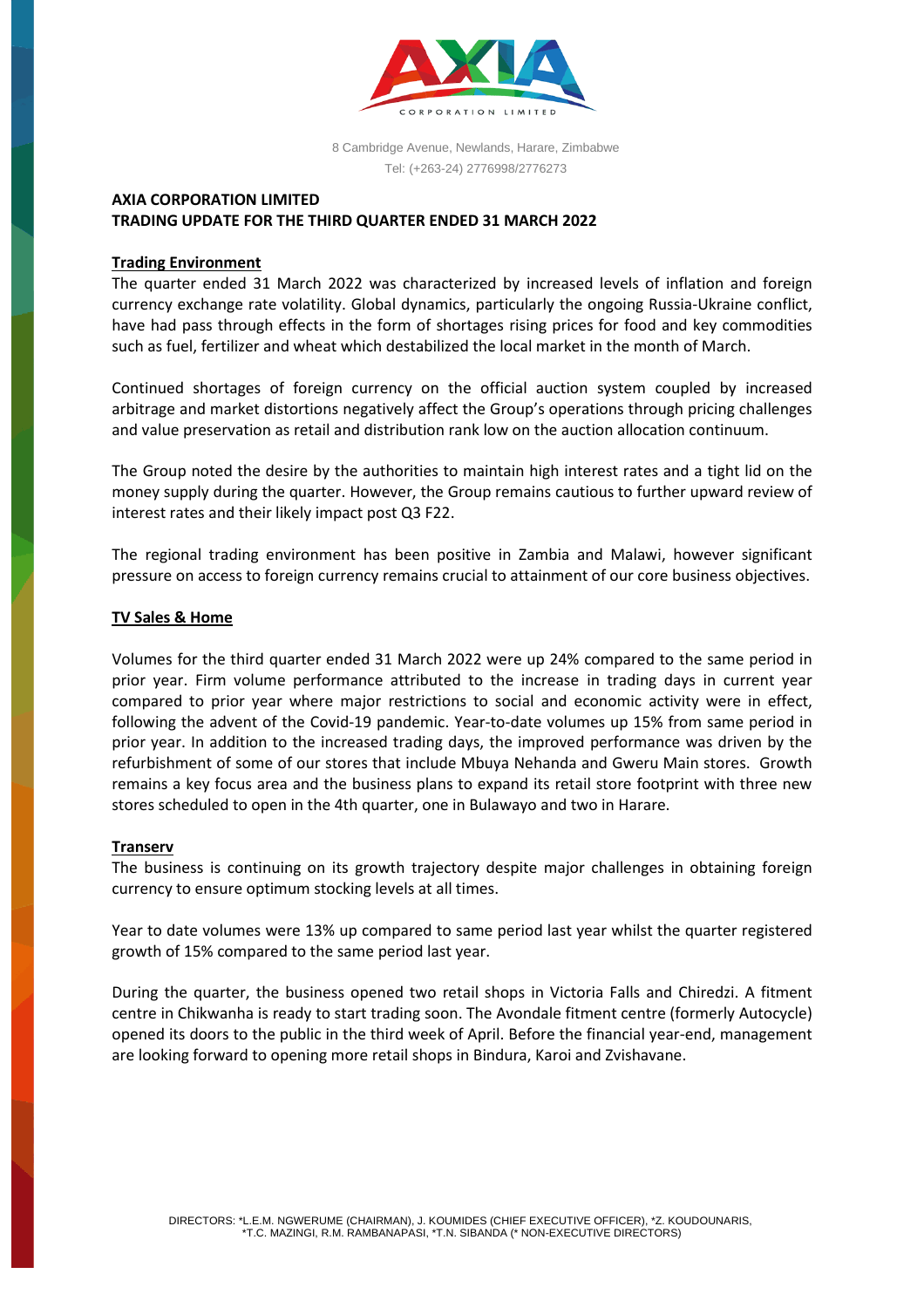

8 Cambridge Avenue, Newlands, Harare, Zimbabwe Tel: (+263-24) 2776998/2776273

# **AXIA CORPORATION LIMITED TRADING UPDATE FOR THE THIRD QUARTER ENDED 31 MARCH 2022**

## **Trading Environment**

The quarter ended 31 March 2022 was characterized by increased levels of inflation and foreign currency exchange rate volatility. Global dynamics, particularly the ongoing Russia-Ukraine conflict, have had pass through effects in the form of shortages rising prices for food and key commodities such as fuel, fertilizer and wheat which destabilized the local market in the month of March.

Continued shortages of foreign currency on the official auction system coupled by increased arbitrage and market distortions negatively affect the Group's operations through pricing challenges and value preservation as retail and distribution rank low on the auction allocation continuum.

The Group noted the desire by the authorities to maintain high interest rates and a tight lid on the money supply during the quarter. However, the Group remains cautious to further upward review of interest rates and their likely impact post Q3 F22.

The regional trading environment has been positive in Zambia and Malawi, however significant pressure on access to foreign currency remains crucial to attainment of our core business objectives.

## **TV Sales & Home**

Volumes for the third quarter ended 31 March 2022 were up 24% compared to the same period in prior year. Firm volume performance attributed to the increase in trading days in current year compared to prior year where major restrictions to social and economic activity were in effect, following the advent of the Covid-19 pandemic. Year-to-date volumes up 15% from same period in prior year. In addition to the increased trading days, the improved performance was driven by the refurbishment of some of our stores that include Mbuya Nehanda and Gweru Main stores. Growth remains a key focus area and the business plans to expand its retail store footprint with three new stores scheduled to open in the 4th quarter, one in Bulawayo and two in Harare.

#### **Transerv**

The business is continuing on its growth trajectory despite major challenges in obtaining foreign currency to ensure optimum stocking levels at all times.

Year to date volumes were 13% up compared to same period last year whilst the quarter registered growth of 15% compared to the same period last year.

During the quarter, the business opened two retail shops in Victoria Falls and Chiredzi. A fitment centre in Chikwanha is ready to start trading soon. The Avondale fitment centre (formerly Autocycle) opened its doors to the public in the third week of April. Before the financial year-end, management are looking forward to opening more retail shops in Bindura, Karoi and Zvishavane.